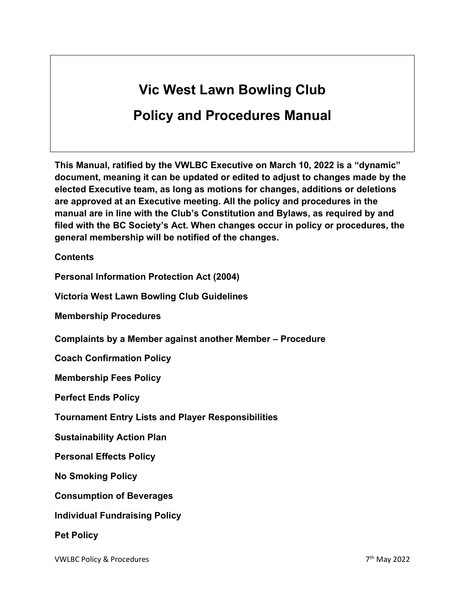# **Vic West Lawn Bowling Club**

# **Policy and Procedures Manual**

**This Manual, ratified by the VWLBC Executive on March 10, 2022 is a "dynamic" document, meaning it can be updated or edited to adjust to changes made by the elected Executive team, as long as motions for changes, additions or deletions are approved at an Executive meeting. All the policy and procedures in the manual are in line with the Club's Constitution and Bylaws, as required by and filed with the BC Society's Act. When changes occur in policy or procedures, the general membership will be notified of the changes.** 

**Contents**

**Personal Information Protection Act (2004)** 

**Victoria West Lawn Bowling Club Guidelines**

**Membership Procedures**

**Complaints by a Member against another Member – Procedure**

**Coach Confirmation Policy**

**Membership Fees Policy**

**Perfect Ends Policy**

**Tournament Entry Lists and Player Responsibilities**

**Sustainability Action Plan**

**Personal Effects Policy**

**No Smoking Policy**

**Consumption of Beverages**

**Individual Fundraising Policy**

**Pet Policy**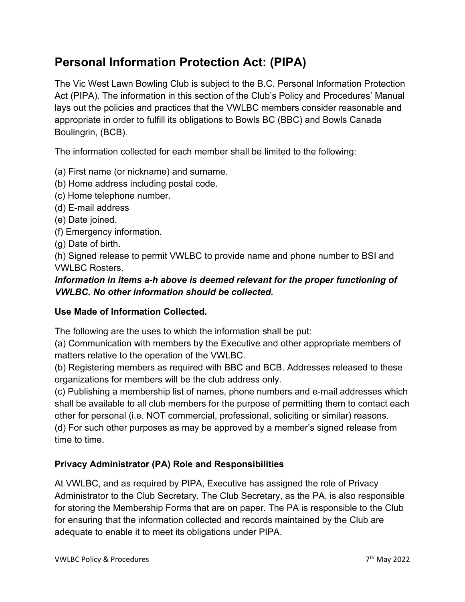# **Personal Information Protection Act: (PIPA)**

The Vic West Lawn Bowling Club is subject to the B.C. Personal Information Protection Act (PIPA). The information in this section of the Club's Policy and Procedures' Manual lays out the policies and practices that the VWLBC members consider reasonable and appropriate in order to fulfill its obligations to Bowls BC (BBC) and Bowls Canada Boulingrin, (BCB).

The information collected for each member shall be limited to the following:

- (a) First name (or nickname) and surname.
- (b) Home address including postal code.
- (c) Home telephone number.
- (d) E-mail address
- (e) Date joined.
- (f) Emergency information.
- (g) Date of birth.

(h) Signed release to permit VWLBC to provide name and phone number to BSI and VWLBC Rosters.

#### *Information in items a-h above is deemed relevant for the proper functioning of VWLBC. No other information should be collected.*

#### **Use Made of Information Collected.**

The following are the uses to which the information shall be put:

(a) Communication with members by the Executive and other appropriate members of matters relative to the operation of the VWLBC.

(b) Registering members as required with BBC and BCB. Addresses released to these organizations for members will be the club address only.

(c) Publishing a membership list of names, phone numbers and e-mail addresses which shall be available to all club members for the purpose of permitting them to contact each other for personal (i.e. NOT commercial, professional, soliciting or similar) reasons. (d) For such other purposes as may be approved by a member's signed release from time to time.

#### **Privacy Administrator (PA) Role and Responsibilities**

At VWLBC, and as required by PIPA, Executive has assigned the role of Privacy Administrator to the Club Secretary. The Club Secretary, as the PA, is also responsible for storing the Membership Forms that are on paper. The PA is responsible to the Club for ensuring that the information collected and records maintained by the Club are adequate to enable it to meet its obligations under PIPA.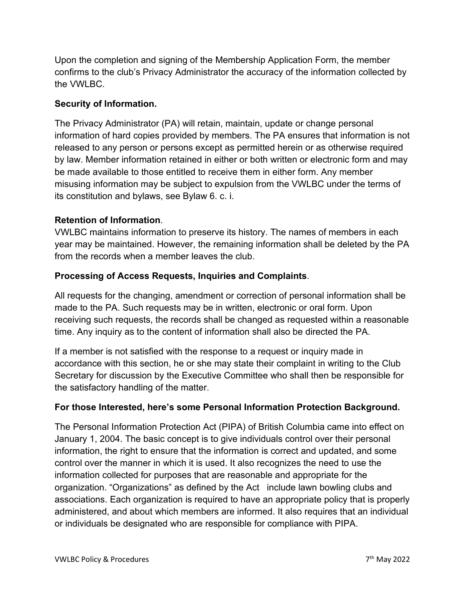Upon the completion and signing of the Membership Application Form, the member confirms to the club's Privacy Administrator the accuracy of the information collected by the VWLBC.

#### **Security of Information.**

The Privacy Administrator (PA) will retain, maintain, update or change personal information of hard copies provided by members. The PA ensures that information is not released to any person or persons except as permitted herein or as otherwise required by law. Member information retained in either or both written or electronic form and may be made available to those entitled to receive them in either form. Any member misusing information may be subject to expulsion from the VWLBC under the terms of its constitution and bylaws, see Bylaw 6. c. i.

#### **Retention of Information**.

VWLBC maintains information to preserve its history. The names of members in each year may be maintained. However, the remaining information shall be deleted by the PA from the records when a member leaves the club.

#### **Processing of Access Requests, Inquiries and Complaints**.

All requests for the changing, amendment or correction of personal information shall be made to the PA. Such requests may be in written, electronic or oral form. Upon receiving such requests, the records shall be changed as requested within a reasonable time. Any inquiry as to the content of information shall also be directed the PA.

If a member is not satisfied with the response to a request or inquiry made in accordance with this section, he or she may state their complaint in writing to the Club Secretary for discussion by the Executive Committee who shall then be responsible for the satisfactory handling of the matter.

#### **For those Interested, here's some Personal Information Protection Background.**

The Personal Information Protection Act (PIPA) of British Columbia came into effect on January 1, 2004. The basic concept is to give individuals control over their personal information, the right to ensure that the information is correct and updated, and some control over the manner in which it is used. It also recognizes the need to use the information collected for purposes that are reasonable and appropriate for the organization. "Organizations" as defined by the Act include lawn bowling clubs and associations. Each organization is required to have an appropriate policy that is properly administered, and about which members are informed. It also requires that an individual or individuals be designated who are responsible for compliance with PIPA.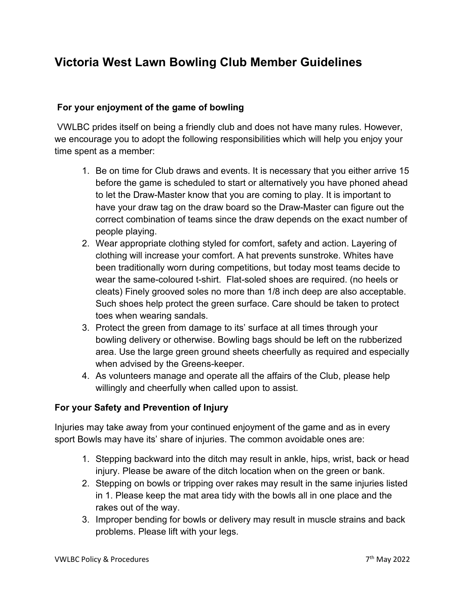### **Victoria West Lawn Bowling Club Member Guidelines**

#### **For your enjoyment of the game of bowling**

VWLBC prides itself on being a friendly club and does not have many rules. However, we encourage you to adopt the following responsibilities which will help you enjoy your time spent as a member:

- 1. Be on time for Club draws and events. It is necessary that you either arrive 15 before the game is scheduled to start or alternatively you have phoned ahead to let the Draw-Master know that you are coming to play. It is important to have your draw tag on the draw board so the Draw-Master can figure out the correct combination of teams since the draw depends on the exact number of people playing.
- 2. Wear appropriate clothing styled for comfort, safety and action. Layering of clothing will increase your comfort. A hat prevents sunstroke. Whites have been traditionally worn during competitions, but today most teams decide to wear the same-coloured t-shirt. Flat-soled shoes are required. (no heels or cleats) Finely grooved soles no more than 1/8 inch deep are also acceptable. Such shoes help protect the green surface. Care should be taken to protect toes when wearing sandals.
- 3. Protect the green from damage to its' surface at all times through your bowling delivery or otherwise. Bowling bags should be left on the rubberized area. Use the large green ground sheets cheerfully as required and especially when advised by the Greens-keeper.
- 4. As volunteers manage and operate all the affairs of the Club, please help willingly and cheerfully when called upon to assist.

#### **For your Safety and Prevention of Injury**

Injuries may take away from your continued enjoyment of the game and as in every sport Bowls may have its' share of injuries. The common avoidable ones are:

- 1. Stepping backward into the ditch may result in ankle, hips, wrist, back or head injury. Please be aware of the ditch location when on the green or bank.
- 2. Stepping on bowls or tripping over rakes may result in the same injuries listed in 1. Please keep the mat area tidy with the bowls all in one place and the rakes out of the way.
- 3. Improper bending for bowls or delivery may result in muscle strains and back problems. Please lift with your legs.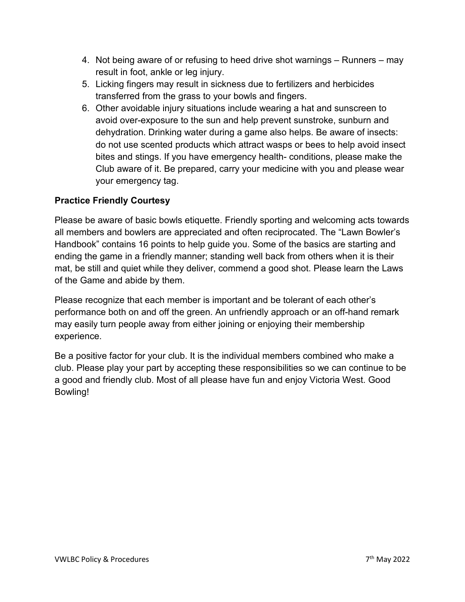- 4. Not being aware of or refusing to heed drive shot warnings Runners may result in foot, ankle or leg injury.
- 5. Licking fingers may result in sickness due to fertilizers and herbicides transferred from the grass to your bowls and fingers.
- 6. Other avoidable injury situations include wearing a hat and sunscreen to avoid over-exposure to the sun and help prevent sunstroke, sunburn and dehydration. Drinking water during a game also helps. Be aware of insects: do not use scented products which attract wasps or bees to help avoid insect bites and stings. If you have emergency health- conditions, please make the Club aware of it. Be prepared, carry your medicine with you and please wear your emergency tag.

#### **Practice Friendly Courtesy**

Please be aware of basic bowls etiquette. Friendly sporting and welcoming acts towards all members and bowlers are appreciated and often reciprocated. The "Lawn Bowler's Handbook" contains 16 points to help guide you. Some of the basics are starting and ending the game in a friendly manner; standing well back from others when it is their mat, be still and quiet while they deliver, commend a good shot. Please learn the Laws of the Game and abide by them.

Please recognize that each member is important and be tolerant of each other's performance both on and off the green. An unfriendly approach or an off-hand remark may easily turn people away from either joining or enjoying their membership experience.

Be a positive factor for your club. It is the individual members combined who make a club. Please play your part by accepting these responsibilities so we can continue to be a good and friendly club. Most of all please have fun and enjoy Victoria West. Good Bowling!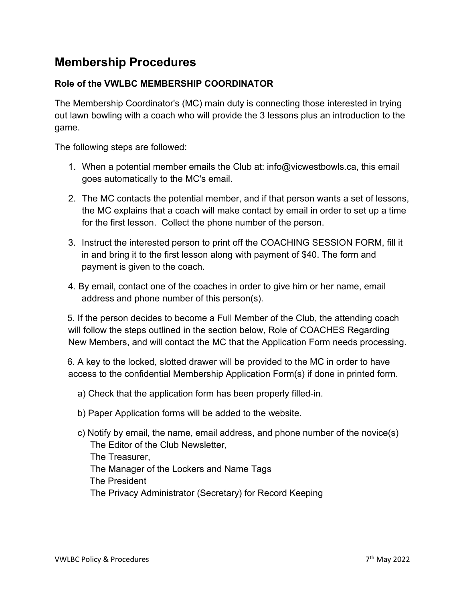### **Membership Procedures**

#### **Role of the VWLBC MEMBERSHIP COORDINATOR**

The Membership Coordinator's (MC) main duty is connecting those interested in trying out lawn bowling with a coach who will provide the 3 lessons plus an introduction to the game.

The following steps are followed:

- 1. When a potential member emails the Club at: info@vicwestbowls.ca, this email goes automatically to the MC's email.
- 2. The MC contacts the potential member, and if that person wants a set of lessons, the MC explains that a coach will make contact by email in order to set up a time for the first lesson. Collect the phone number of the person.
- 3. Instruct the interested person to print off the COACHING SESSION FORM, fill it in and bring it to the first lesson along with payment of \$40. The form and payment is given to the coach.
- 4. By email, contact one of the coaches in order to give him or her name, email address and phone number of this person(s).

 5. If the person decides to become a Full Member of the Club, the attending coach will follow the steps outlined in the section below, Role of COACHES Regarding New Members, and will contact the MC that the Application Form needs processing.

 6. A key to the locked, slotted drawer will be provided to the MC in order to have access to the confidential Membership Application Form(s) if done in printed form.

- a) Check that the application form has been properly filled-in.
- b) Paper Application forms will be added to the website.
- c) Notify by email, the name, email address, and phone number of the novice(s) The Editor of the Club Newsletter, The Treasurer, The Manager of the Lockers and Name Tags The President The Privacy Administrator (Secretary) for Record Keeping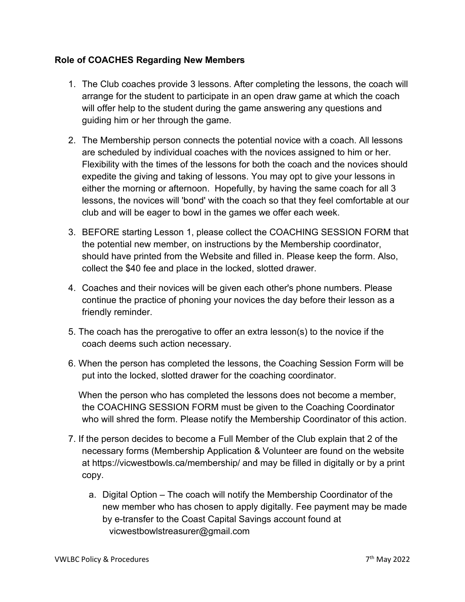#### **Role of COACHES Regarding New Members**

- 1. The Club coaches provide 3 lessons. After completing the lessons, the coach will arrange for the student to participate in an open draw game at which the coach will offer help to the student during the game answering any questions and guiding him or her through the game.
- 2. The Membership person connects the potential novice with a coach. All lessons are scheduled by individual coaches with the novices assigned to him or her. Flexibility with the times of the lessons for both the coach and the novices should expedite the giving and taking of lessons. You may opt to give your lessons in either the morning or afternoon. Hopefully, by having the same coach for all 3 lessons, the novices will 'bond' with the coach so that they feel comfortable at our club and will be eager to bowl in the games we offer each week.
- 3. BEFORE starting Lesson 1, please collect the COACHING SESSION FORM that the potential new member, on instructions by the Membership coordinator, should have printed from the Website and filled in. Please keep the form. Also, collect the \$40 fee and place in the locked, slotted drawer.
- 4. Coaches and their novices will be given each other's phone numbers. Please continue the practice of phoning your novices the day before their lesson as a friendly reminder.
- 5. The coach has the prerogative to offer an extra lesson(s) to the novice if the coach deems such action necessary.
- 6. When the person has completed the lessons, the Coaching Session Form will be put into the locked, slotted drawer for the coaching coordinator.

 When the person who has completed the lessons does not become a member, the COACHING SESSION FORM must be given to the Coaching Coordinator who will shred the form. Please notify the Membership Coordinator of this action.

- 7. If the person decides to become a Full Member of the Club explain that 2 of the necessary forms (Membership Application & Volunteer are found on the website at https://vicwestbowls.ca/membership/ and may be filled in digitally or by a print copy.
	- a. Digital Option The coach will notify the Membership Coordinator of the new member who has chosen to apply digitally. Fee payment may be made by e-transfer to the Coast Capital Savings account found at vicwestbowlstreasurer@gmail.com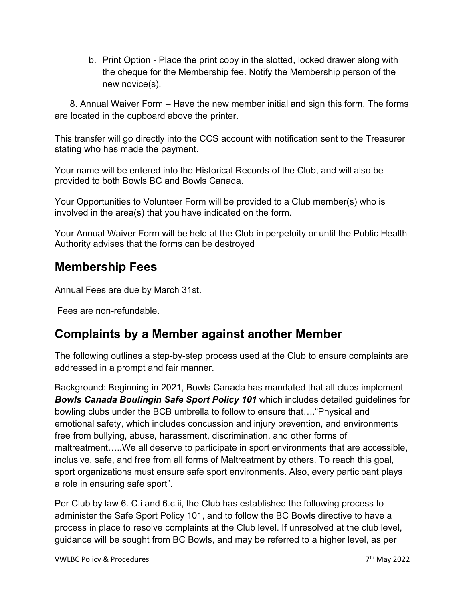b. Print Option - Place the print copy in the slotted, locked drawer along with the cheque for the Membership fee. Notify the Membership person of the new novice(s).

 8. Annual Waiver Form – Have the new member initial and sign this form. The forms are located in the cupboard above the printer.

This transfer will go directly into the CCS account with notification sent to the Treasurer stating who has made the payment.

Your name will be entered into the Historical Records of the Club, and will also be provided to both Bowls BC and Bowls Canada.

Your Opportunities to Volunteer Form will be provided to a Club member(s) who is involved in the area(s) that you have indicated on the form.

Your Annual Waiver Form will be held at the Club in perpetuity or until the Public Health Authority advises that the forms can be destroyed

### **Membership Fees**

Annual Fees are due by March 31st.

Fees are non-refundable.

### **Complaints by a Member against another Member**

The following outlines a step-by-step process used at the Club to ensure complaints are addressed in a prompt and fair manner.

Background: Beginning in 2021, Bowls Canada has mandated that all clubs implement *Bowls Canada Boulingin Safe Sport Policy 101* which includes detailed guidelines for bowling clubs under the BCB umbrella to follow to ensure that…."Physical and emotional safety, which includes concussion and injury prevention, and environments free from bullying, abuse, harassment, discrimination, and other forms of maltreatment…..We all deserve to participate in sport environments that are accessible, inclusive, safe, and free from all forms of Maltreatment by others. To reach this goal, sport organizations must ensure safe sport environments. Also, every participant plays a role in ensuring safe sport".

Per Club by law 6. C.i and 6.c.ii, the Club has established the following process to administer the Safe Sport Policy 101, and to follow the BC Bowls directive to have a process in place to resolve complaints at the Club level. If unresolved at the club level, guidance will be sought from BC Bowls, and may be referred to a higher level, as per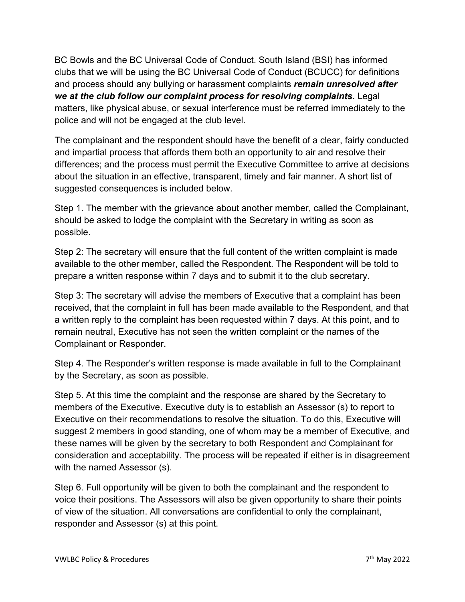BC Bowls and the BC Universal Code of Conduct. South Island (BSI) has informed clubs that we will be using the BC Universal Code of Conduct (BCUCC) for definitions and process should any bullying or harassment complaints *remain unresolved after we at the club follow our complaint process for resolving complaints*. Legal matters, like physical abuse, or sexual interference must be referred immediately to the police and will not be engaged at the club level.

The complainant and the respondent should have the benefit of a clear, fairly conducted and impartial process that affords them both an opportunity to air and resolve their differences; and the process must permit the Executive Committee to arrive at decisions about the situation in an effective, transparent, timely and fair manner. A short list of suggested consequences is included below.

Step 1. The member with the grievance about another member, called the Complainant, should be asked to lodge the complaint with the Secretary in writing as soon as possible.

Step 2: The secretary will ensure that the full content of the written complaint is made available to the other member, called the Respondent. The Respondent will be told to prepare a written response within 7 days and to submit it to the club secretary.

Step 3: The secretary will advise the members of Executive that a complaint has been received, that the complaint in full has been made available to the Respondent, and that a written reply to the complaint has been requested within 7 days. At this point, and to remain neutral, Executive has not seen the written complaint or the names of the Complainant or Responder.

Step 4. The Responder's written response is made available in full to the Complainant by the Secretary, as soon as possible.

Step 5. At this time the complaint and the response are shared by the Secretary to members of the Executive. Executive duty is to establish an Assessor (s) to report to Executive on their recommendations to resolve the situation. To do this, Executive will suggest 2 members in good standing, one of whom may be a member of Executive, and these names will be given by the secretary to both Respondent and Complainant for consideration and acceptability. The process will be repeated if either is in disagreement with the named Assessor (s).

Step 6. Full opportunity will be given to both the complainant and the respondent to voice their positions. The Assessors will also be given opportunity to share their points of view of the situation. All conversations are confidential to only the complainant, responder and Assessor (s) at this point.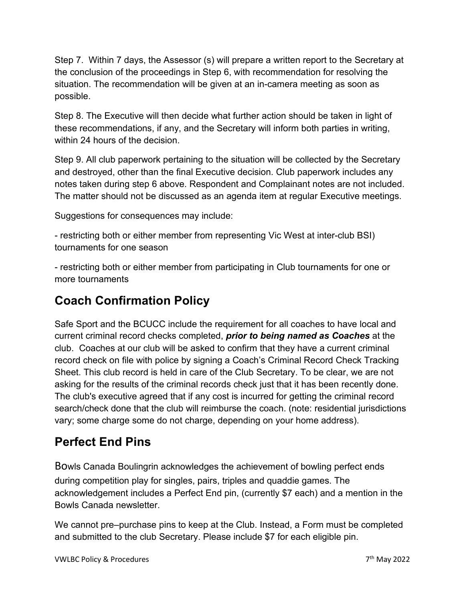Step 7. Within 7 days, the Assessor (s) will prepare a written report to the Secretary at the conclusion of the proceedings in Step 6, with recommendation for resolving the situation. The recommendation will be given at an in-camera meeting as soon as possible.

Step 8. The Executive will then decide what further action should be taken in light of these recommendations, if any, and the Secretary will inform both parties in writing, within 24 hours of the decision

Step 9. All club paperwork pertaining to the situation will be collected by the Secretary and destroyed, other than the final Executive decision. Club paperwork includes any notes taken during step 6 above. Respondent and Complainant notes are not included. The matter should not be discussed as an agenda item at regular Executive meetings.

Suggestions for consequences may include:

- restricting both or either member from representing Vic West at inter-club BSI) tournaments for one season

- restricting both or either member from participating in Club tournaments for one or more tournaments

# **Coach Confirmation Policy**

Safe Sport and the BCUCC include the requirement for all coaches to have local and current criminal record checks completed, *prior to being named as Coaches* at the club. Coaches at our club will be asked to confirm that they have a current criminal record check on file with police by signing a Coach's Criminal Record Check Tracking Sheet. This club record is held in care of the Club Secretary. To be clear, we are not asking for the results of the criminal records check just that it has been recently done. The club's executive agreed that if any cost is incurred for getting the criminal record search/check done that the club will reimburse the coach. (note: residential jurisdictions vary; some charge some do not charge, depending on your home address).

# **Perfect End Pins**

Bowls Canada Boulingrin acknowledges the achievement of bowling perfect ends during competition play for singles, pairs, triples and quaddie games. The acknowledgement includes a Perfect End pin, (currently \$7 each) and a mention in the Bowls Canada newsletter.

We cannot pre–purchase pins to keep at the Club. Instead, a Form must be completed and submitted to the club Secretary. Please include \$7 for each eligible pin.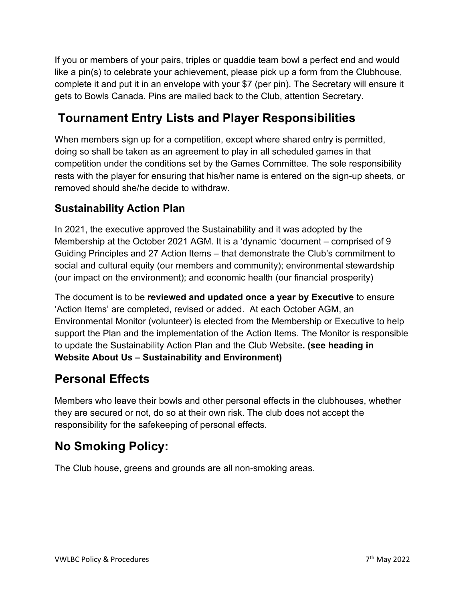If you or members of your pairs, triples or quaddie team bowl a perfect end and would like a pin(s) to celebrate your achievement, please pick up a form from the Clubhouse, complete it and put it in an envelope with your \$7 (per pin). The Secretary will ensure it gets to Bowls Canada. Pins are mailed back to the Club, attention Secretary.

# **Tournament Entry Lists and Player Responsibilities**

When members sign up for a competition, except where shared entry is permitted, doing so shall be taken as an agreement to play in all scheduled games in that competition under the conditions set by the Games Committee. The sole responsibility rests with the player for ensuring that his/her name is entered on the sign-up sheets, or removed should she/he decide to withdraw.

### **Sustainability Action Plan**

In 2021, the executive approved the Sustainability and it was adopted by the Membership at the October 2021 AGM. It is a 'dynamic 'document – comprised of 9 Guiding Principles and 27 Action Items – that demonstrate the Club's commitment to social and cultural equity (our members and community); environmental stewardship (our impact on the environment); and economic health (our financial prosperity)

The document is to be **reviewed and updated once a year by Executive** to ensure 'Action Items' are completed, revised or added. At each October AGM, an Environmental Monitor (volunteer) is elected from the Membership or Executive to help support the Plan and the implementation of the Action Items. The Monitor is responsible to update the Sustainability Action Plan and the Club Website**. (see heading in Website About Us – Sustainability and Environment)**

### **Personal Effects**

Members who leave their bowls and other personal effects in the clubhouses, whether they are secured or not, do so at their own risk. The club does not accept the responsibility for the safekeeping of personal effects.

# **No Smoking Policy:**

The Club house, greens and grounds are all non-smoking areas.